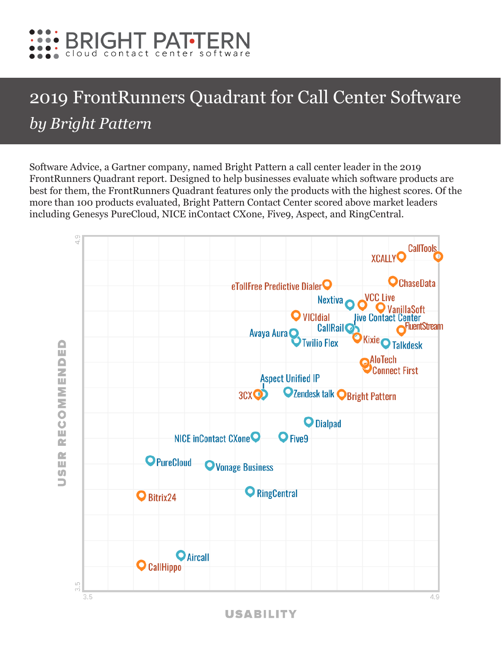

## 2019 FrontRunners Quadrant for Call Center Software *by Bright Pattern*

Software Advice, a Gartner company, named Bright Pattern a call center leader in the 2019 FrontRunners Quadrant report. Designed to help businesses evaluate which software products are best for them, the FrontRunners Quadrant features only the products with the highest scores. Of the more than 100 products evaluated, Bright Pattern Contact Center scored above market leaders including Genesys PureCloud, NICE inContact CXone, Five9, Aspect, and RingCentral.